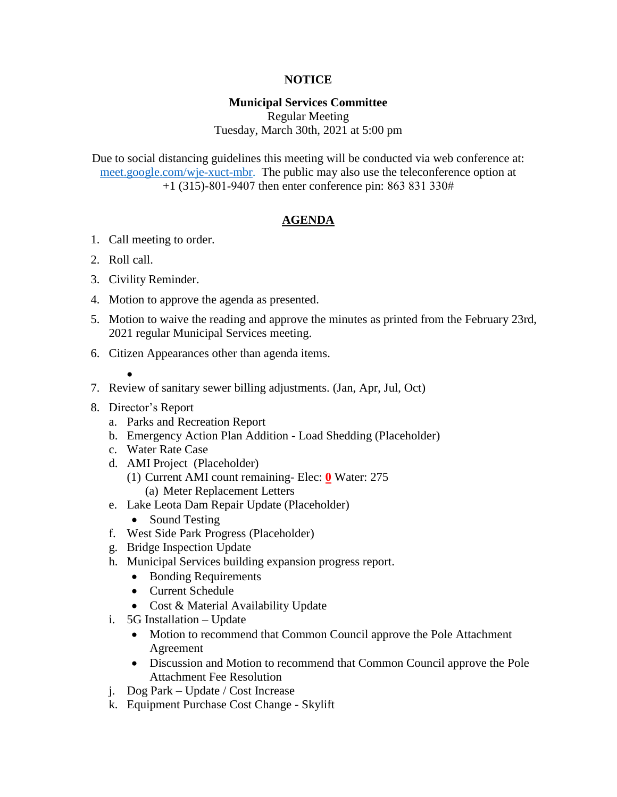# **NOTICE**

### **Municipal Services Committee**

Regular Meeting Tuesday, March 30th, 2021 at 5:00 pm

Due to social distancing guidelines this meeting will be conducted via web conference at: [meet.google.com/wje-xuct-mbr.](meet.google.com/wje-xuct-mbr) The public may also use the teleconference option at +1 (315)-801-9407 then enter conference pin: 863 831 330#

# **AGENDA**

- 1. Call meeting to order.
- 2. Roll call.
- 3. Civility Reminder.
- 4. Motion to approve the agenda as presented.
- 5. Motion to waive the reading and approve the minutes as printed from the February 23rd, 2021 regular Municipal Services meeting.
- 6. Citizen Appearances other than agenda items.
	- $\bullet$
- 7. Review of sanitary sewer billing adjustments. (Jan, Apr, Jul, Oct)
- 8. Director's Report
	- a. Parks and Recreation Report
	- b. Emergency Action Plan Addition Load Shedding (Placeholder)
	- c. Water Rate Case
	- d. AMI Project (Placeholder)
		- (1) Current AMI count remaining- Elec: **0** Water: 275 (a) Meter Replacement Letters
	- e. Lake Leota Dam Repair Update (Placeholder)
		- Sound Testing
	- f. West Side Park Progress (Placeholder)
	- g. Bridge Inspection Update
	- h. Municipal Services building expansion progress report.
		- Bonding Requirements
		- Current Schedule
		- Cost & Material Availability Update
	- i. 5G Installation Update
		- Motion to recommend that Common Council approve the Pole Attachment Agreement
		- Discussion and Motion to recommend that Common Council approve the Pole Attachment Fee Resolution
	- j. Dog Park Update / Cost Increase
	- k. Equipment Purchase Cost Change Skylift